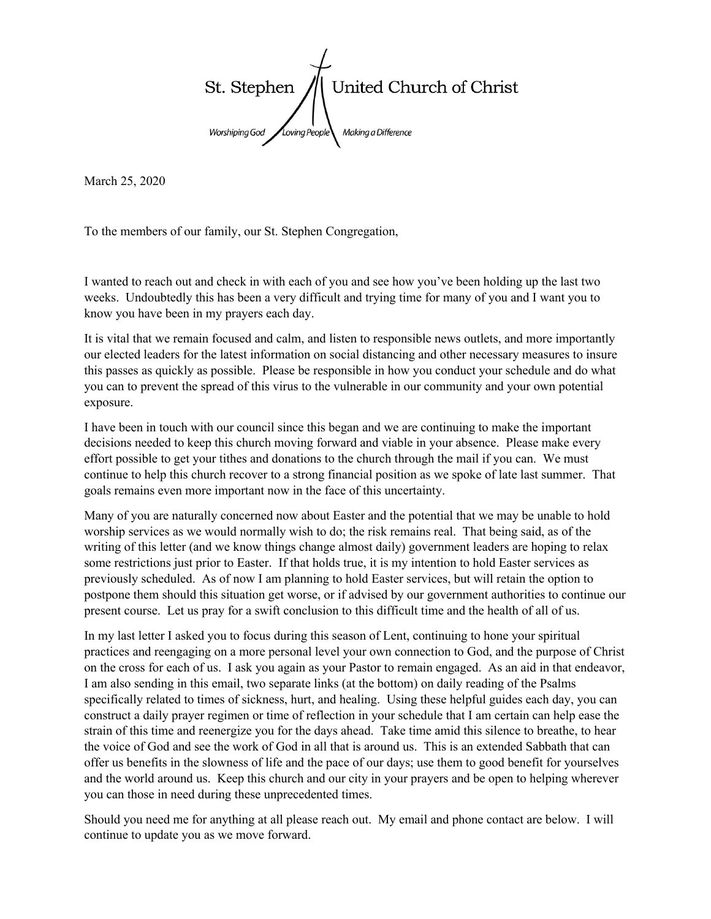

March 25, 2020

To the members of our family, our St. Stephen Congregation,

I wanted to reach out and check in with each of you and see how you've been holding up the last two weeks. Undoubtedly this has been a very difficult and trying time for many of you and I want you to know you have been in my prayers each day.

It is vital that we remain focused and calm, and listen to responsible news outlets, and more importantly our elected leaders for the latest information on social distancing and other necessary measures to insure this passes as quickly as possible. Please be responsible in how you conduct your schedule and do what you can to prevent the spread of this virus to the vulnerable in our community and your own potential exposure.

I have been in touch with our council since this began and we are continuing to make the important decisions needed to keep this church moving forward and viable in your absence. Please make every effort possible to get your tithes and donations to the church through the mail if you can. We must continue to help this church recover to a strong financial position as we spoke of late last summer. That goals remains even more important now in the face of this uncertainty.

Many of you are naturally concerned now about Easter and the potential that we may be unable to hold worship services as we would normally wish to do; the risk remains real. That being said, as of the writing of this letter (and we know things change almost daily) government leaders are hoping to relax some restrictions just prior to Easter. If that holds true, it is my intention to hold Easter services as previously scheduled. As of now I am planning to hold Easter services, but will retain the option to postpone them should this situation get worse, or if advised by our government authorities to continue our present course. Let us pray for a swift conclusion to this difficult time and the health of all of us.

In my last letter I asked you to focus during this season of Lent, continuing to hone your spiritual practices and reengaging on a more personal level your own connection to God, and the purpose of Christ on the cross for each of us. I ask you again as your Pastor to remain engaged. As an aid in that endeavor, I am also sending in this email, two separate links (at the bottom) on daily reading of the Psalms specifically related to times of sickness, hurt, and healing. Using these helpful guides each day, you can construct a daily prayer regimen or time of reflection in your schedule that I am certain can help ease the strain of this time and reenergize you for the days ahead. Take time amid this silence to breathe, to hear the voice of God and see the work of God in all that is around us. This is an extended Sabbath that can offer us benefits in the slowness of life and the pace of our days; use them to good benefit for yourselves and the world around us. Keep this church and our city in your prayers and be open to helping wherever you can those in need during these unprecedented times.

Should you need me for anything at all please reach out. My email and phone contact are below. I will continue to update you as we move forward.